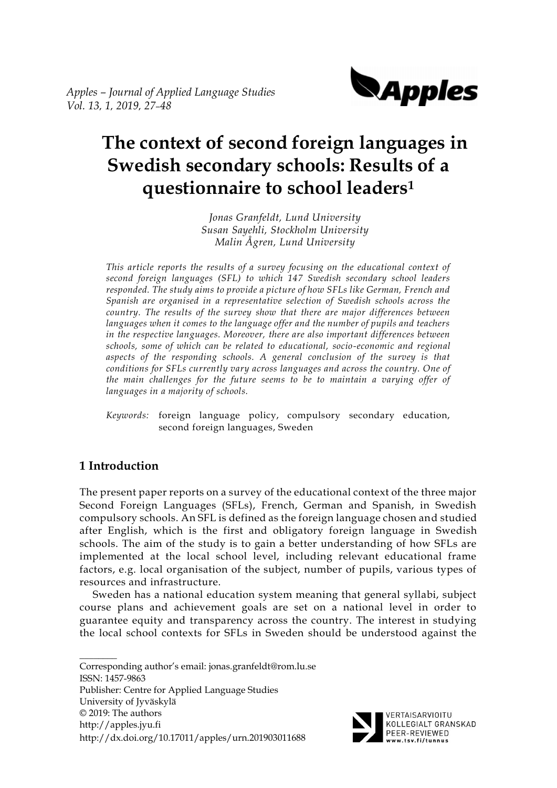

# **The context of second foreign languages in Swedish secondary schools: Results of a questionnaire to school leaders<sup>1</sup>**

*Jonas Granfeldt, Lund University Susan Sayehli, Stockholm University Malin Ågren, Lund University*

*This article reports the results of a survey focusing on the educational context of second foreign languages (SFL) to which 147 Swedish secondary school leaders responded. The study aims to provide a picture of how SFLs like German, French and Spanish are organised in a representative selection of Swedish schools across the country. The results of the survey show that there are major differences between languages when it comes to the language offer and the number of pupils and teachers in the respective languages. Moreover, there are also important differences between schools, some of which can be related to educational, socio-economic and regional*  aspects of the responding schools. A general conclusion of the survey is that *conditions for SFLs currently vary across languages and across the country. One of the main challenges for the future seems to be to maintain a varying offer of languages in a majority of schools.* 

*Keywords:* foreign language policy, compulsory secondary education, second foreign languages, Sweden

# **1 Introduction**

The present paper reports on a survey of the educational context of the three major Second Foreign Languages (SFLs), French, German and Spanish, in Swedish compulsory schools. An SFL is defined as the foreign language chosen and studied after English, which is the first and obligatory foreign language in Swedish schools. The aim of the study is to gain a better understanding of how SFLs are implemented at the local school level, including relevant educational frame factors, e.g. local organisation of the subject, number of pupils, various types of resources and infrastructure.

Sweden has a national education system meaning that general syllabi, subject course plans and achievement goals are set on a national level in order to guarantee equity and transparency across the country. The interest in studying the local school contexts for SFLs in Sweden should be understood against the

 $\mathcal{L}$ Corresponding author's email: jonas.granfeldt@rom.lu.se ISSN: 1457-9863 Publisher: Centre for Applied Language Studies University of Jyväskylä © 2019: The authors http://apples.jyu.fi http://dx.doi.org/10.17011/apples/urn.201903011688

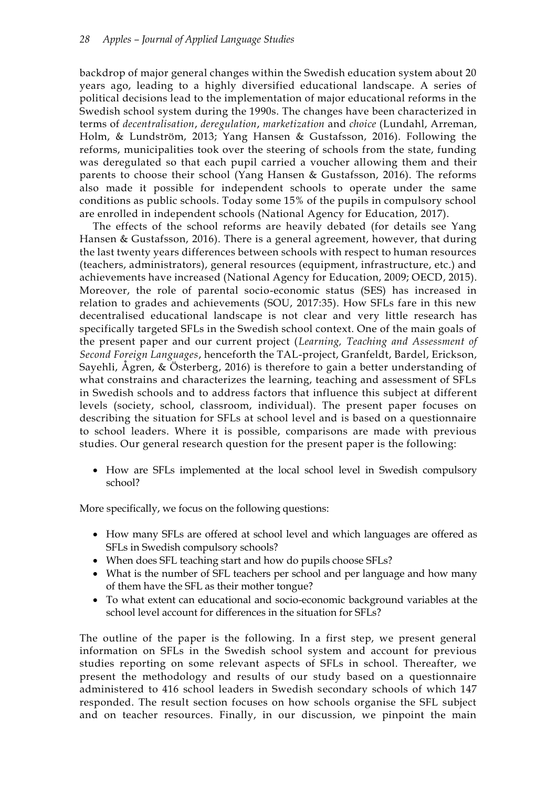backdrop of major general changes within the Swedish education system about 20 years ago, leading to a highly diversified educational landscape. A series of political decisions lead to the implementation of major educational reforms in the Swedish school system during the 1990s. The changes have been characterized in terms of *decentralisation*, *deregulation*, *marketization* and *choice* (Lundahl, Arreman, Holm, & Lundström, 2013; Yang Hansen & Gustafsson, 2016). Following the reforms, municipalities took over the steering of schools from the state, funding was deregulated so that each pupil carried a voucher allowing them and their parents to choose their school (Yang Hansen & Gustafsson, 2016). The reforms also made it possible for independent schools to operate under the same conditions as public schools. Today some 15% of the pupils in compulsory school are enrolled in independent schools (National Agency for Education, 2017).

The effects of the school reforms are heavily debated (for details see Yang Hansen & Gustafsson, 2016). There is a general agreement, however, that during the last twenty years differences between schools with respect to human resources (teachers, administrators), general resources (equipment, infrastructure, etc.) and achievements have increased (National Agency for Education, 2009; OECD, 2015). Moreover, the role of parental socio-economic status (SES) has increased in relation to grades and achievements (SOU, 2017:35). How SFLs fare in this new decentralised educational landscape is not clear and very little research has specifically targeted SFLs in the Swedish school context. One of the main goals of the present paper and our current project (*Learning, Teaching and Assessment of Second Foreign Languages*, henceforth the TAL-project, Granfeldt, Bardel, Erickson, Sayehli, Ågren, & Österberg, 2016) is therefore to gain a better understanding of what constrains and characterizes the learning, teaching and assessment of SFLs in Swedish schools and to address factors that influence this subject at different levels (society, school, classroom, individual). The present paper focuses on describing the situation for SFLs at school level and is based on a questionnaire to school leaders. Where it is possible, comparisons are made with previous studies. Our general research question for the present paper is the following:

• How are SFLs implemented at the local school level in Swedish compulsory school?

More specifically, we focus on the following questions:

- How many SFLs are offered at school level and which languages are offered as SFLs in Swedish compulsory schools?
- When does SFL teaching start and how do pupils choose SFLs?
- What is the number of SFL teachers per school and per language and how many of them have the SFL as their mother tongue?
- To what extent can educational and socio-economic background variables at the school level account for differences in the situation for SFLs?

The outline of the paper is the following. In a first step, we present general information on SFLs in the Swedish school system and account for previous studies reporting on some relevant aspects of SFLs in school. Thereafter, we present the methodology and results of our study based on a questionnaire administered to 416 school leaders in Swedish secondary schools of which 147 responded. The result section focuses on how schools organise the SFL subject and on teacher resources. Finally, in our discussion, we pinpoint the main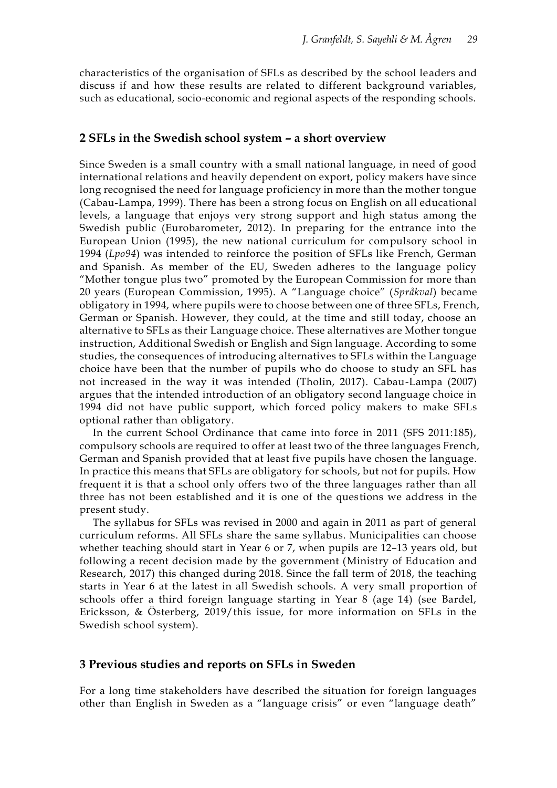characteristics of the organisation of SFLs as described by the school leaders and discuss if and how these results are related to different background variables, such as educational, socio-economic and regional aspects of the responding schools.

#### **2 SFLs in the Swedish school system – a short overview**

Since Sweden is a small country with a small national language, in need of good international relations and heavily dependent on export, policy makers have since long recognised the need for language proficiency in more than the mother tongue (Cabau-Lampa, 1999). There has been a strong focus on English on all educational levels, a language that enjoys very strong support and high status among the Swedish public (Eurobarometer, 2012). In preparing for the entrance into the European Union (1995), the new national curriculum for compulsory school in 1994 (*Lpo94*) was intended to reinforce the position of SFLs like French, German and Spanish. As member of the EU, Sweden adheres to the language policy "Mother tongue plus two" promoted by the European Commission for more than 20 years (European Commission, 1995). A "Language choice" (*Språkval*) became obligatory in 1994, where pupils were to choose between one of three SFLs, French, German or Spanish. However, they could, at the time and still today, choose an alternative to SFLs as their Language choice. These alternatives are Mother tongue instruction, Additional Swedish or English and Sign language. According to some studies, the consequences of introducing alternatives to SFLs within the Language choice have been that the number of pupils who do choose to study an SFL has not increased in the way it was intended (Tholin, 2017). Cabau-Lampa (2007) argues that the intended introduction of an obligatory second language choice in 1994 did not have public support, which forced policy makers to make SFLs optional rather than obligatory.

In the current School Ordinance that came into force in 2011 (SFS 2011:185), compulsory schools are required to offer at least two of the three languages French, German and Spanish provided that at least five pupils have chosen the language. In practice this means that SFLs are obligatory for schools, but not for pupils. How frequent it is that a school only offers two of the three languages rather than all three has not been established and it is one of the questions we address in the present study.

The syllabus for SFLs was revised in 2000 and again in 2011 as part of general curriculum reforms. All SFLs share the same syllabus. Municipalities can choose whether teaching should start in Year 6 or 7, when pupils are 12–13 years old, but following a recent decision made by the government (Ministry of Education and Research, 2017) this changed during 2018. Since the fall term of 2018, the teaching starts in Year 6 at the latest in all Swedish schools. A very small proportion of schools offer a third foreign language starting in Year 8 (age 14) (see Bardel, Ericksson, & Österberg, 2019/this issue, for more information on SFLs in the Swedish school system).

#### **3 Previous studies and reports on SFLs in Sweden**

For a long time stakeholders have described the situation for foreign languages other than English in Sweden as a "language crisis" or even "language death"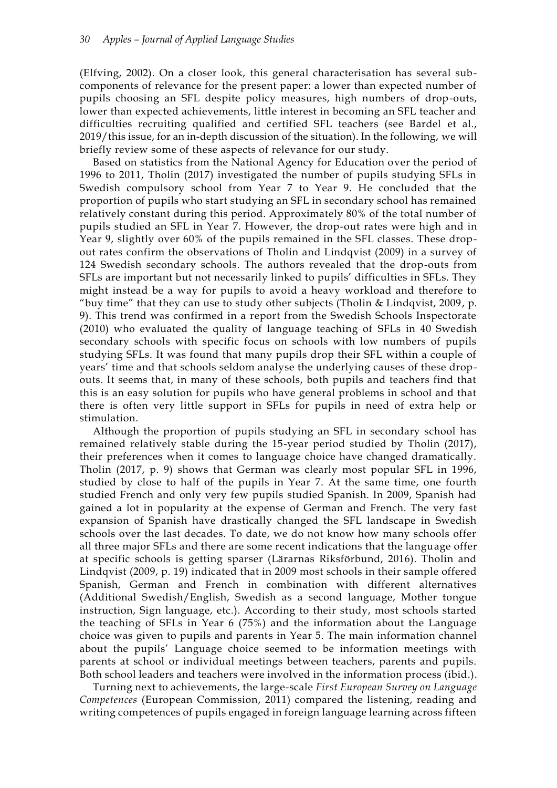(Elfving, 2002). On a closer look, this general characterisation has several subcomponents of relevance for the present paper: a lower than expected number of pupils choosing an SFL despite policy measures, high numbers of drop-outs, lower than expected achievements, little interest in becoming an SFL teacher and difficulties recruiting qualified and certified SFL teachers (see Bardel et al., 2019/this issue, for an in-depth discussion of the situation). In the following, we will briefly review some of these aspects of relevance for our study.

Based on statistics from the National Agency for Education over the period of 1996 to 2011, Tholin (2017) investigated the number of pupils studying SFLs in Swedish compulsory school from Year 7 to Year 9. He concluded that the proportion of pupils who start studying an SFL in secondary school has remained relatively constant during this period. Approximately 80% of the total number of pupils studied an SFL in Year 7. However, the drop-out rates were high and in Year 9, slightly over 60% of the pupils remained in the SFL classes. These dropout rates confirm the observations of Tholin and Lindqvist (2009) in a survey of 124 Swedish secondary schools. The authors revealed that the drop-outs from SFLs are important but not necessarily linked to pupils' difficulties in SFLs. They might instead be a way for pupils to avoid a heavy workload and therefore to "buy time" that they can use to study other subjects (Tholin & Lindqvist, 2009, p. 9). This trend was confirmed in a report from the Swedish Schools Inspectorate (2010) who evaluated the quality of language teaching of SFLs in 40 Swedish secondary schools with specific focus on schools with low numbers of pupils studying SFLs. It was found that many pupils drop their SFL within a couple of years' time and that schools seldom analyse the underlying causes of these dropouts. It seems that, in many of these schools, both pupils and teachers find that this is an easy solution for pupils who have general problems in school and that there is often very little support in SFLs for pupils in need of extra help or stimulation.

Although the proportion of pupils studying an SFL in secondary school has remained relatively stable during the 15-year period studied by Tholin (2017), their preferences when it comes to language choice have changed dramatically. Tholin (2017, p. 9) shows that German was clearly most popular SFL in 1996, studied by close to half of the pupils in Year 7. At the same time, one fourth studied French and only very few pupils studied Spanish. In 2009, Spanish had gained a lot in popularity at the expense of German and French. The very fast expansion of Spanish have drastically changed the SFL landscape in Swedish schools over the last decades. To date, we do not know how many schools offer all three major SFLs and there are some recent indications that the language offer at specific schools is getting sparser (Lärarnas Riksförbund, 2016). Tholin and Lindqvist (2009, p. 19) indicated that in 2009 most schools in their sample offered Spanish, German and French in combination with different alternatives (Additional Swedish/English, Swedish as a second language, Mother tongue instruction, Sign language, etc.). According to their study, most schools started the teaching of SFLs in Year 6 (75%) and the information about the Language choice was given to pupils and parents in Year 5. The main information channel about the pupils' Language choice seemed to be information meetings with parents at school or individual meetings between teachers, parents and pupils. Both school leaders and teachers were involved in the information process (ibid.).

Turning next to achievements, the large-scale *First European Survey on Language Competences* (European Commission, 2011) compared the listening, reading and writing competences of pupils engaged in foreign language learning across fifteen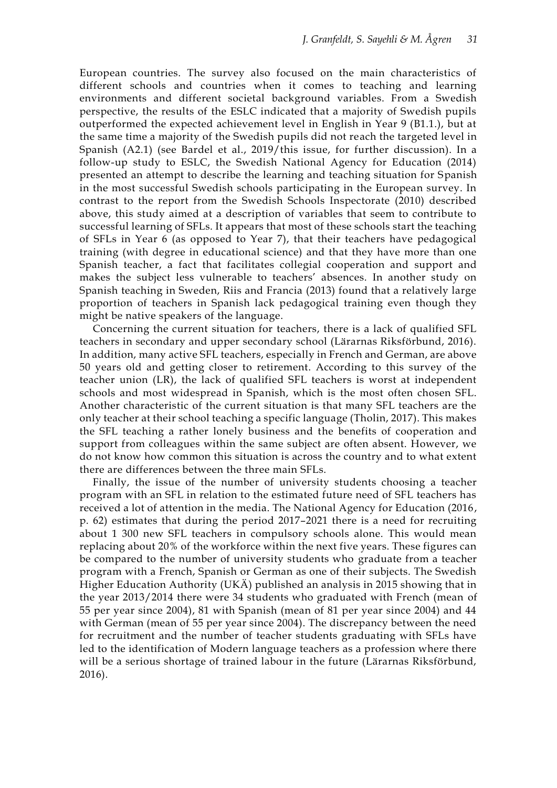European countries. The survey also focused on the main characteristics of different schools and countries when it comes to teaching and learning environments and different societal background variables. From a Swedish perspective, the results of the ESLC indicated that a majority of Swedish pupils outperformed the expected achievement level in English in Year 9 (B1.1.), but at the same time a majority of the Swedish pupils did not reach the targeted level in Spanish (A2.1) (see Bardel et al., 2019/this issue, for further discussion). In a follow-up study to ESLC, the Swedish National Agency for Education (2014) presented an attempt to describe the learning and teaching situation for Spanish in the most successful Swedish schools participating in the European survey. In contrast to the report from the Swedish Schools Inspectorate (2010) described above, this study aimed at a description of variables that seem to contribute to successful learning of SFLs. It appears that most of these schools start the teaching of SFLs in Year 6 (as opposed to Year 7), that their teachers have pedagogical training (with degree in educational science) and that they have more than one Spanish teacher, a fact that facilitates collegial cooperation and support and makes the subject less vulnerable to teachers' absences. In another study on Spanish teaching in Sweden, Riis and Francia (2013) found that a relatively large proportion of teachers in Spanish lack pedagogical training even though they might be native speakers of the language.

Concerning the current situation for teachers, there is a lack of qualified SFL teachers in secondary and upper secondary school (Lärarnas Riksförbund, 2016). In addition, many active SFL teachers, especially in French and German, are above 50 years old and getting closer to retirement. According to this survey of the teacher union (LR), the lack of qualified SFL teachers is worst at independent schools and most widespread in Spanish, which is the most often chosen SFL. Another characteristic of the current situation is that many SFL teachers are the only teacher at their school teaching a specific language (Tholin, 2017). This makes the SFL teaching a rather lonely business and the benefits of cooperation and support from colleagues within the same subject are often absent. However, we do not know how common this situation is across the country and to what extent there are differences between the three main SFLs.

Finally, the issue of the number of university students choosing a teacher program with an SFL in relation to the estimated future need of SFL teachers has received a lot of attention in the media. The National Agency for Education (2016, p. 62) estimates that during the period 2017–2021 there is a need for recruiting about 1 300 new SFL teachers in compulsory schools alone. This would mean replacing about 20% of the workforce within the next five years. These figures can be compared to the number of university students who graduate from a teacher program with a French, Spanish or German as one of their subjects. The Swedish Higher Education Authority (UKÄ) published an analysis in 2015 showing that in the year 2013/2014 there were 34 students who graduated with French (mean of 55 per year since 2004), 81 with Spanish (mean of 81 per year since 2004) and 44 with German (mean of 55 per year since 2004). The discrepancy between the need for recruitment and the number of teacher students graduating with SFLs have led to the identification of Modern language teachers as a profession where there will be a serious shortage of trained labour in the future (Lärarnas Riksförbund, 2016).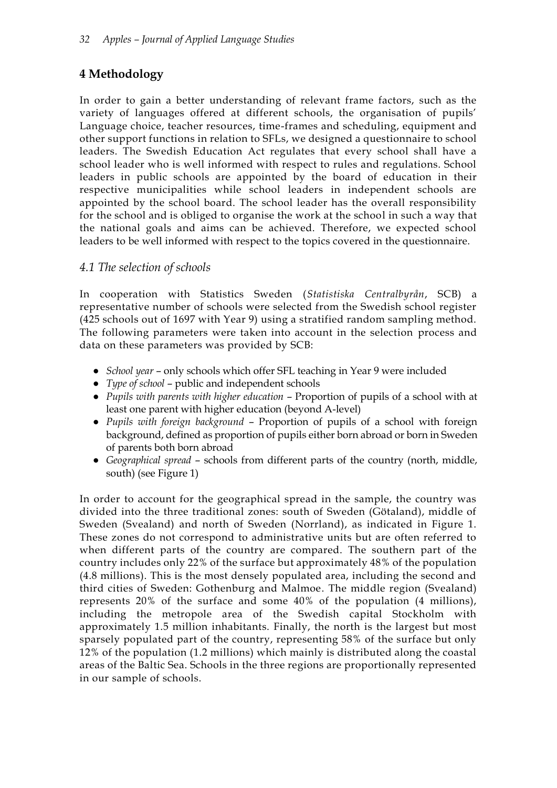# **4 Methodology**

In order to gain a better understanding of relevant frame factors, such as the variety of languages offered at different schools, the organisation of pupils' Language choice, teacher resources, time-frames and scheduling, equipment and other support functions in relation to SFLs, we designed a questionnaire to school leaders. The Swedish Education Act regulates that every school shall have a school leader who is well informed with respect to rules and regulations. School leaders in public schools are appointed by the board of education in their respective municipalities while school leaders in independent schools are appointed by the school board. The school leader has the overall responsibility for the school and is obliged to organise the work at the school in such a way that the national goals and aims can be achieved. Therefore, we expected school leaders to be well informed with respect to the topics covered in the questionnaire.

# *4.1 The selection of schools*

In cooperation with Statistics Sweden (*Statistiska Centralbyrån*, SCB) a representative number of schools were selected from the Swedish school register (425 schools out of 1697 with Year 9) using a stratified random sampling method. The following parameters were taken into account in the selection process and data on these parameters was provided by SCB:

- *School year* only schools which offer SFL teaching in Year 9 were included
- *Type of school* public and independent schools
- *Pupils with parents with higher education* Proportion of pupils of a school with at least one parent with higher education (beyond A-level)
- *Pupils with foreign background* Proportion of pupils of a school with foreign background, defined as proportion of pupils either born abroad or born in Sweden of parents both born abroad
- *Geographical spread* schools from different parts of the country (north, middle, south) (see Figure 1)

In order to account for the geographical spread in the sample, the country was divided into the three traditional zones: south of Sweden (Götaland), middle of Sweden (Svealand) and north of Sweden (Norrland), as indicated in Figure 1. These zones do not correspond to administrative units but are often referred to when different parts of the country are compared. The southern part of the country includes only 22% of the surface but approximately 48% of the population (4.8 millions). This is the most densely populated area, including the second and third cities of Sweden: Gothenburg and Malmoe. The middle region (Svealand) represents 20% of the surface and some 40% of the population (4 millions), including the metropole area of the Swedish capital Stockholm with approximately 1.5 million inhabitants. Finally, the north is the largest but most sparsely populated part of the country, representing 58% of the surface but only 12% of the population (1.2 millions) which mainly is distributed along the coastal areas of the Baltic Sea. Schools in the three regions are proportionally represented in our sample of schools.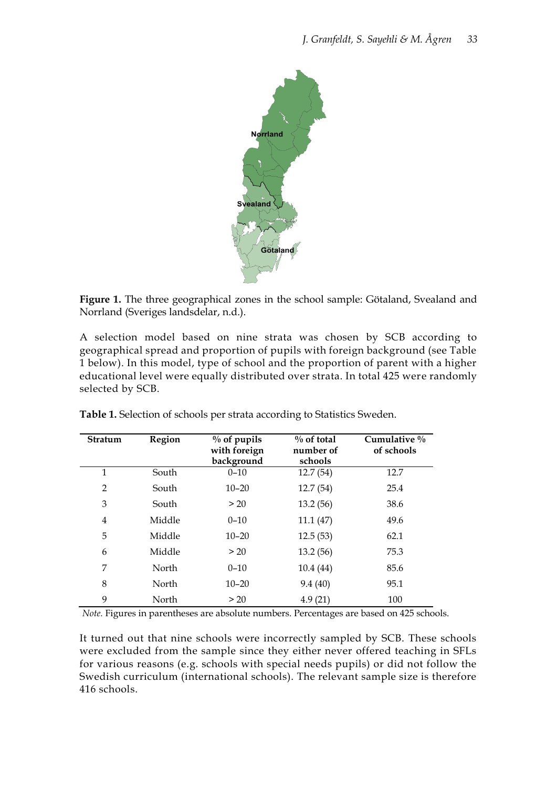

**Figure 1.** The three geographical zones in the school sample: Götaland, Svealand and Norrland (Sveriges landsdelar, n.d.).

A selection model based on nine strata was chosen by SCB according to geographical spread and proportion of pupils with foreign background (see Table 1 below). In this model, type of school and the proportion of parent with a higher educational level were equally distributed over strata. In total 425 were randomly selected by SCB.

| Stratum        | Region | $\%$ of pupils<br>with foreign<br>background | $\%$ of total<br>number of<br>schools | Cumulative $\%$<br>of schools |
|----------------|--------|----------------------------------------------|---------------------------------------|-------------------------------|
| 1              | South  | $0 - 10$                                     | 12.7(54)                              | 12.7                          |
| $\overline{2}$ | South  | $10 - 20$                                    | 12.7(54)                              | 25.4                          |
| 3              | South  | > 20                                         | 13.2(56)                              | 38.6                          |
| 4              | Middle | $0 - 10$                                     | 11.1(47)                              | 49.6                          |
| 5              | Middle | $10 - 20$                                    | 12.5(53)                              | 62.1                          |
| 6              | Middle | > 20                                         | 13.2(56)                              | 75.3                          |
| 7              | North  | $0 - 10$                                     | 10.4 (44)                             | 85.6                          |
| 8              | North  | $10 - 20$                                    | 9.4(40)                               | 95.1                          |
| 9              | North  | > 20                                         | 4.9(21)                               | 100                           |

**Table 1.** Selection of schools per strata according to Statistics Sweden.

*Note.* Figures in parentheses are absolute numbers. Percentages are based on 425 schools.

It turned out that nine schools were incorrectly sampled by SCB. These schools were excluded from the sample since they either never offered teaching in SFLs for various reasons (e.g. schools with special needs pupils) or did not follow the Swedish curriculum (international schools). The relevant sample size is therefore 416 schools.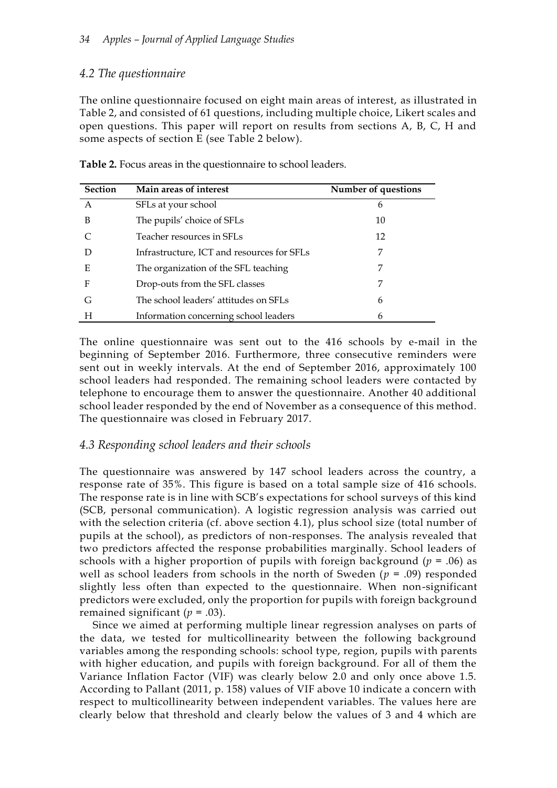# *4.2 The questionnaire*

The online questionnaire focused on eight main areas of interest, as illustrated in Table 2, and consisted of 61 questions, including multiple choice, Likert scales and open questions. This paper will report on results from sections A, B, C, H and some aspects of section E (see Table 2 below).

| <b>Section</b> | Main areas of interest                     | Number of questions |
|----------------|--------------------------------------------|---------------------|
| $\mathsf{A}$   | SFLs at your school                        | 6                   |
| B              | The pupils' choice of SFLs                 | 10                  |
|                | Teacher resources in SFLs                  | 12                  |
|                | Infrastructure, ICT and resources for SFLs | 7                   |
| E              | The organization of the SFL teaching       | 7                   |
| F              | Drop-outs from the SFL classes             | 7                   |
| G              | The school leaders' attitudes on SFLs      | 6                   |
| H              | Information concerning school leaders      | 6                   |

**Table 2.** Focus areas in the questionnaire to school leaders.

The online questionnaire was sent out to the 416 schools by e-mail in the beginning of September 2016. Furthermore, three consecutive reminders were sent out in weekly intervals. At the end of September 2016, approximately 100 school leaders had responded. The remaining school leaders were contacted by telephone to encourage them to answer the questionnaire. Another 40 additional school leader responded by the end of November as a consequence of this method. The questionnaire was closed in February 2017.

### *4.3 Responding school leaders and their schools*

The questionnaire was answered by 147 school leaders across the country, a response rate of 35%. This figure is based on a total sample size of 416 schools. The response rate is in line with SCB's expectations for school surveys of this kind (SCB, personal communication). A logistic regression analysis was carried out with the selection criteria (cf. above section 4.1), plus school size (total number of pupils at the school), as predictors of non-responses. The analysis revealed that two predictors affected the response probabilities marginally. School leaders of schools with a higher proportion of pupils with foreign background ( $p = .06$ ) as well as school leaders from schools in the north of Sweden (*p* = .09) responded slightly less often than expected to the questionnaire. When non-significant predictors were excluded, only the proportion for pupils with foreign background remained significant  $(p = .03)$ .

Since we aimed at performing multiple linear regression analyses on parts of the data, we tested for multicollinearity between the following background variables among the responding schools: school type, region, pupils with parents with higher education, and pupils with foreign background. For all of them the Variance Inflation Factor (VIF) was clearly below 2.0 and only once above 1.5. According to Pallant (2011, p. 158) values of VIF above 10 indicate a concern with respect to multicollinearity between independent variables. The values here are clearly below that threshold and clearly below the values of 3 and 4 which are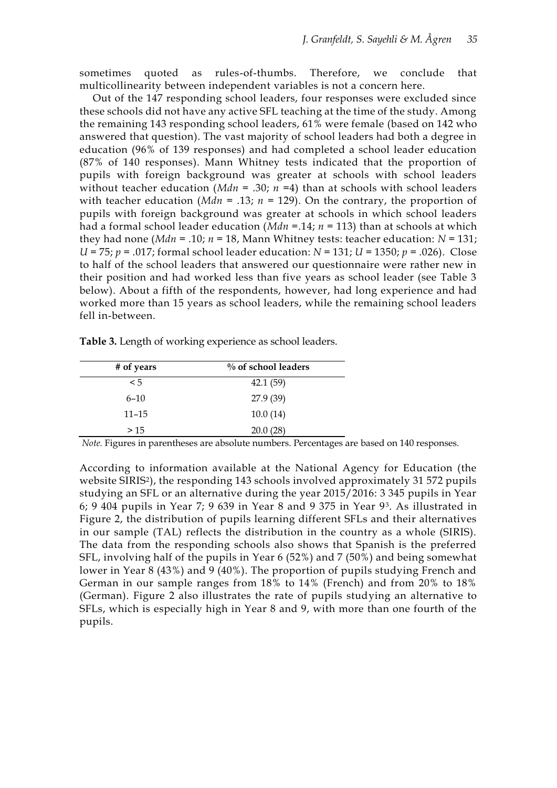sometimes quoted as rules-of-thumbs. Therefore, we conclude that multicollinearity between independent variables is not a concern here.

Out of the 147 responding school leaders, four responses were excluded since these schools did not have any active SFL teaching at the time of the study. Among the remaining 143 responding school leaders, 61% were female (based on 142 who answered that question). The vast majority of school leaders had both a degree in education (96% of 139 responses) and had completed a school leader education (87% of 140 responses). Mann Whitney tests indicated that the proportion of pupils with foreign background was greater at schools with school leaders without teacher education ( $Mdn = .30$ ;  $n = 4$ ) than at schools with school leaders with teacher education ( $Mdn = .13$ ;  $n = 129$ ). On the contrary, the proportion of pupils with foreign background was greater at schools in which school leaders had a formal school leader education (*Mdn* =.14; *n* = 113) than at schools at which they had none ( $Mdn = .10$ ;  $n = 18$ , Mann Whitney tests: teacher education:  $N = 131$ ; *U* = 75; *p* = .017; formal school leader education: *N* = 131; *U* = 1350; *p* = .026). Close to half of the school leaders that answered our questionnaire were rather new in their position and had worked less than five years as school leader (see Table 3 below). About a fifth of the respondents, however, had long experience and had worked more than 15 years as school leaders, while the remaining school leaders fell in-between.

|  | Table 3. Length of working experience as school leaders. |  |
|--|----------------------------------------------------------|--|
|  |                                                          |  |

| # of years | $\%$ of school leaders |
|------------|------------------------|
| $\leq 5$   | 42.1(59)               |
| $6 - 10$   | 27.9 (39)              |
| $11 - 15$  | 10.0(14)               |
| >15        | 20.0(28)               |

*Note.* Figures in parentheses are absolute numbers. Percentages are based on 140 responses.

According to information available at the National Agency for Education (the website SIRIS<sup>2</sup>), the responding 143 schools involved approximately 31 572 pupils studying an SFL or an alternative during the year 2015/2016: 3 345 pupils in Year 6; 9 404 pupils in Year 7; 9 639 in Year 8 and 9 375 in Year 93. As illustrated in Figure 2, the distribution of pupils learning different SFLs and their alternatives in our sample (TAL) reflects the distribution in the country as a whole (SIRIS). The data from the responding schools also shows that Spanish is the preferred SFL, involving half of the pupils in Year 6 (52%) and 7 (50%) and being somewhat lower in Year 8 (43%) and 9 (40%). The proportion of pupils studying French and German in our sample ranges from 18% to 14% (French) and from 20% to 18% (German). Figure 2 also illustrates the rate of pupils studying an alternative to SFLs, which is especially high in Year 8 and 9, with more than one fourth of the pupils.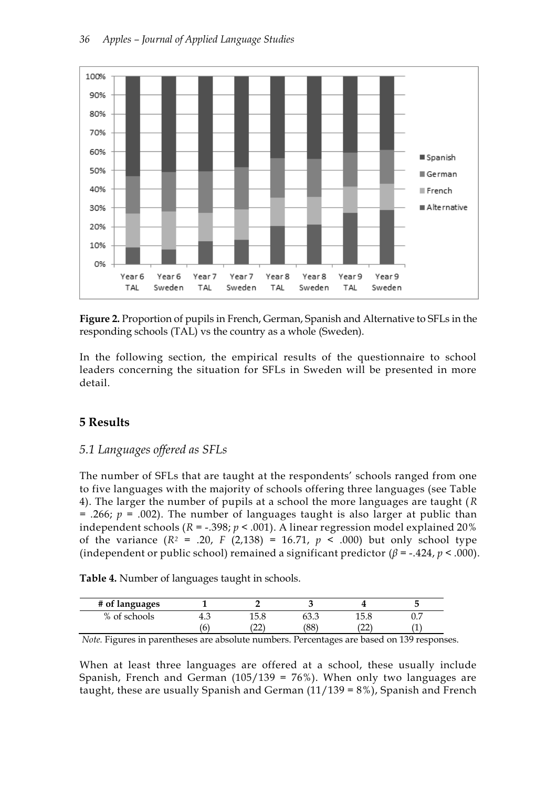

**Figure 2.** Proportion of pupils in French, German, Spanish and Alternative to SFLs in the responding schools (TAL) vs the country as a whole (Sweden).

In the following section, the empirical results of the questionnaire to school leaders concerning the situation for SFLs in Sweden will be presented in more detail.

# **5 Results**

# *5.1 Languages offered as SFLs*

The number of SFLs that are taught at the respondents' schools ranged from one to five languages with the majority of schools offering three languages (see Table 4). The larger the number of pupils at a school the more languages are taught (*R* = .266; *p* = .002). The number of languages taught is also larger at public than independent schools ( $R = -0.398$ ;  $p < 0.001$ ). A linear regression model explained 20% of the variance  $(R^2 = .20, F (2,138) = 16.71, p < .000)$  but only school type (independent or public school) remained a significant predictor  $(\beta = -.424, p < .000)$ .

| Table 4. Number of languages taught in schools. |  |
|-------------------------------------------------|--|
|-------------------------------------------------|--|

| # of languages |     |                 |                 |              |     |
|----------------|-----|-----------------|-----------------|--------------|-----|
| % of schools   | ∸.ט | 1 E. Q<br>エン・ヒ  | UU.U            |              | ◡.៸ |
|                | ◡   | $\sim$<br>ا کہا | 'ററ'<br>$\circ$ | $\sim$<br>∠∠ | л.  |

*Note.* Figures in parentheses are absolute numbers. Percentages are based on 139 responses.

When at least three languages are offered at a school, these usually include Spanish, French and German  $(105/139 = 76%)$ . When only two languages are taught, these are usually Spanish and German (11/139 = 8%), Spanish and French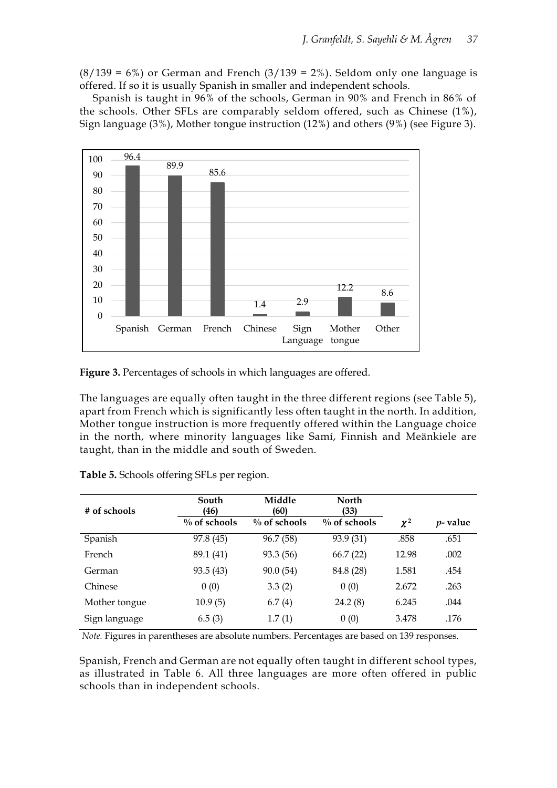$(8/139 = 6\%)$  or German and French  $(3/139 = 2\%)$ . Seldom only one language is offered. If so it is usually Spanish in smaller and independent schools.

Spanish is taught in 96% of the schools, German in 90% and French in 86% of the schools. Other SFLs are comparably seldom offered, such as Chinese (1%), Sign language (3%), Mother tongue instruction (12%) and others (9%) (see Figure 3).



**Figure 3.** Percentages of schools in which languages are offered.

The languages are equally often taught in the three different regions (see Table 5), apart from French which is significantly less often taught in the north. In addition, Mother tongue instruction is more frequently offered within the Language choice in the north, where minority languages like Samí, Finnish and Meänkiele are taught, than in the middle and south of Sweden.

| # of schools  | South<br>(46)   | Middle<br>(60)  | <b>North</b><br>(33) |          |             |
|---------------|-----------------|-----------------|----------------------|----------|-------------|
|               | $\%$ of schools | $\%$ of schools | $\%$ of schools      | $\chi^2$ | $p$ - value |
| Spanish       | 97.8 (45)       | 96.7 (58)       | 93.9 (31)            | .858     | .651        |
| French        | 89.1 (41)       | 93.3 (56)       | 66.7(22)             | 12.98    | .002        |
| German        | 93.5 (43)       | 90.0(54)        | 84.8 (28)            | 1.581    | .454        |
| Chinese       | 0(0)            | 3.3(2)          | 0(0)                 | 2.672    | .263        |
| Mother tongue | 10.9(5)         | 6.7(4)          | 24.2(8)              | 6.245    | .044        |
| Sign language | 6.5(3)          | 1.7(1)          | 0(0)                 | 3.478    | .176        |

**Table 5.** Schools offering SFLs per region.

*Note.* Figures in parentheses are absolute numbers. Percentages are based on 139 responses.

Spanish, French and German are not equally often taught in different school types, as illustrated in Table 6. All three languages are more often offered in public schools than in independent schools.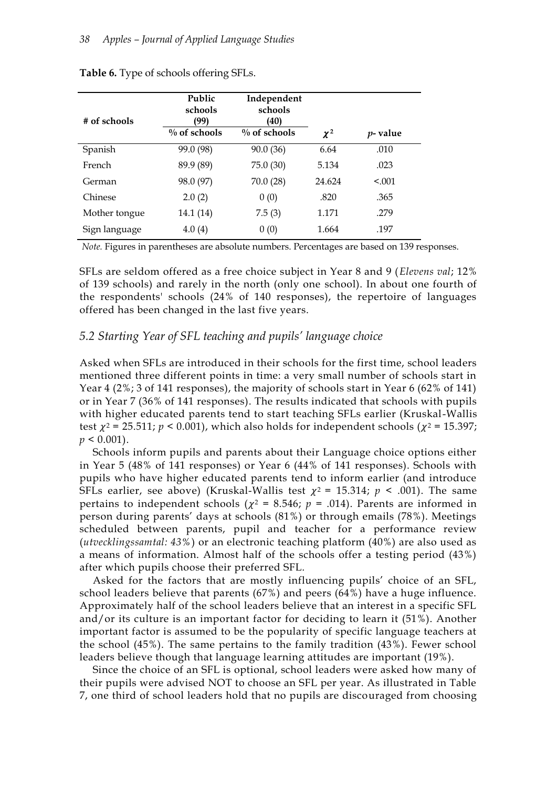| # of schools  | Public<br>schools<br>(99) | Independent<br>schools<br>(40) |          |             |
|---------------|---------------------------|--------------------------------|----------|-------------|
|               | $\%$ of schools           | $\%$ of schools                | $\chi^2$ | $p$ - value |
| Spanish       | 99.0 (98)                 | 90.0(36)                       | 6.64     | .010        |
| French        | 89.9 (89)                 | 75.0 (30)                      | 5.134    | .023        |
| German        | 98.0 (97)                 | 70.0(28)                       | 24.624   | < 0.01      |
| Chinese       | 2.0(2)                    | 0(0)                           | .820     | .365        |
| Mother tongue | 14.1 (14)                 | 7.5(3)                         | 1.171    | .279        |
| Sign language | 4.0(4)                    | 0(0)                           | 1.664    | .197        |

#### **Table 6.** Type of schools offering SFLs.

*Note.* Figures in parentheses are absolute numbers. Percentages are based on 139 responses.

SFLs are seldom offered as a free choice subject in Year 8 and 9 (*Elevens val*; 12% of 139 schools) and rarely in the north (only one school). In about one fourth of the respondents' schools (24% of 140 responses), the repertoire of languages offered has been changed in the last five years.

### *5.2 Starting Year of SFL teaching and pupils' language choice*

Asked when SFLs are introduced in their schools for the first time, school leaders mentioned three different points in time: a very small number of schools start in Year 4 (2%; 3 of 141 responses), the majority of schools start in Year 6 (62% of 141) or in Year 7 (36% of 141 responses). The results indicated that schools with pupils with higher educated parents tend to start teaching SFLs earlier (Kruskal-Wallis test  $\chi^2$  = 25.511;  $p$  < 0.001), which also holds for independent schools ( $\chi^2$  = 15.397;  $p \leq 0.001$ ).

Schools inform pupils and parents about their Language choice options either in Year 5 (48% of 141 responses) or Year 6 (44% of 141 responses). Schools with pupils who have higher educated parents tend to inform earlier (and introduce SFLs earlier, see above) (Kruskal-Wallis test  $\chi^2$  = 15.314;  $p \le 0.001$ ). The same pertains to independent schools ( $\chi^2$  = 8.546;  $p$  = .014). Parents are informed in person during parents' days at schools (81%) or through emails (78%). Meetings scheduled between parents, pupil and teacher for a performance review (*utvecklingssamtal: 43%*) or an electronic teaching platform (40%) are also used as a means of information. Almost half of the schools offer a testing period (43%) after which pupils choose their preferred SFL.

Asked for the factors that are mostly influencing pupils' choice of an SFL, school leaders believe that parents (67%) and peers (64%) have a huge influence. Approximately half of the school leaders believe that an interest in a specific SFL and/or its culture is an important factor for deciding to learn it (51%). Another important factor is assumed to be the popularity of specific language teachers at the school (45%). The same pertains to the family tradition (43%). Fewer school leaders believe though that language learning attitudes are important (19%).

Since the choice of an SFL is optional, school leaders were asked how many of their pupils were advised NOT to choose an SFL per year. As illustrated in Table 7, one third of school leaders hold that no pupils are discouraged from choosing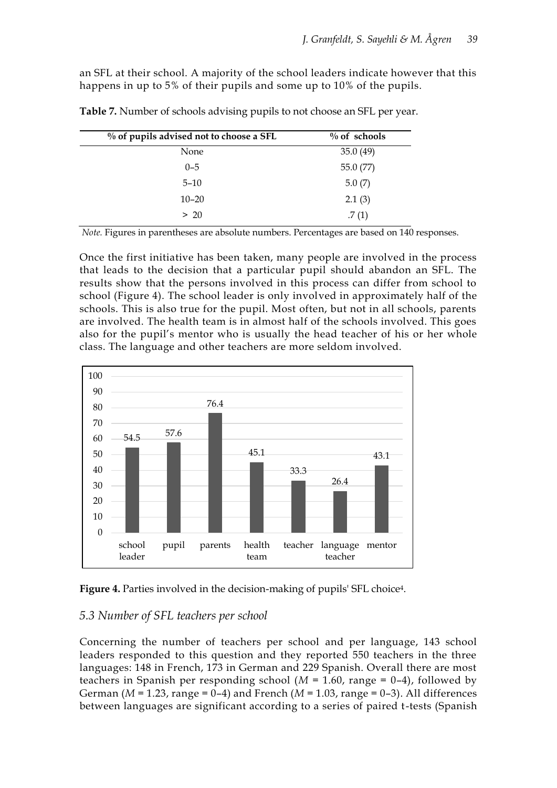an SFL at their school. A majority of the school leaders indicate however that this happens in up to 5% of their pupils and some up to 10% of the pupils.

| $\%$ of pupils advised not to choose a SFL | $\%$ of schools |
|--------------------------------------------|-----------------|
| None                                       | 35.0(49)        |
| $0 - 5$                                    | 55.0 (77)       |
| $5 - 10$                                   | 5.0(7)          |
| $10 - 20$                                  | 2.1(3)          |
| > 20                                       | .7(1)           |

**Table 7.** Number of schools advising pupils to not choose an SFL per year.

*Note.* Figures in parentheses are absolute numbers. Percentages are based on 140 responses.

Once the first initiative has been taken, many people are involved in the process that leads to the decision that a particular pupil should abandon an SFL. The results show that the persons involved in this process can differ from school to school (Figure 4). The school leader is only involved in approximately half of the schools. This is also true for the pupil. Most often, but not in all schools, parents are involved. The health team is in almost half of the schools involved. This goes also for the pupil's mentor who is usually the head teacher of his or her whole class. The language and other teachers are more seldom involved.





#### *5.3 Number of SFL teachers per school*

Concerning the number of teachers per school and per language, 143 school leaders responded to this question and they reported 550 teachers in the three languages: 148 in French, 173 in German and 229 Spanish. Overall there are most teachers in Spanish per responding school ( $M = 1.60$ , range = 0-4), followed by German (*M* = 1.23, range = 0–4) and French (*M* = 1.03, range = 0–3). All differences between languages are significant according to a series of paired t-tests (Spanish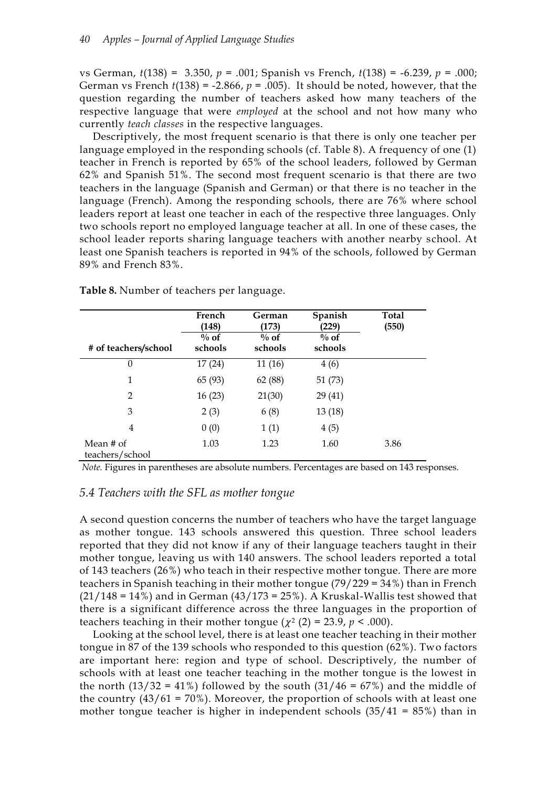vs German, *t*(138) = 3.350, *p* = .001; Spanish vs French, *t*(138) = -6.239, *p* = .000; German vs French  $t(138) = -2.866$ ,  $p = .005$ ). It should be noted, however, that the question regarding the number of teachers asked how many teachers of the respective language that were *employed* at the school and not how many who currently *teach classes* in the respective languages.

Descriptively, the most frequent scenario is that there is only one teacher per language employed in the responding schools (cf. Table 8). A frequency of one (1) teacher in French is reported by 65% of the school leaders, followed by German 62% and Spanish 51%. The second most frequent scenario is that there are two teachers in the language (Spanish and German) or that there is no teacher in the language (French). Among the responding schools, there are 76% where school leaders report at least one teacher in each of the respective three languages. Only two schools report no employed language teacher at all. In one of these cases, the school leader reports sharing language teachers with another nearby school. At least one Spanish teachers is reported in 94% of the schools, followed by German 89% and French 83%.

|                              | French<br>(148)    | German<br>(173)    | Spanish<br>(229)   | Total<br>(550) |
|------------------------------|--------------------|--------------------|--------------------|----------------|
| # of teachers/school         | $\%$ of<br>schools | $\%$ of<br>schools | $\%$ of<br>schools |                |
| $\theta$                     | 17(24)             | 11(16)             | 4(6)               |                |
| 1                            | 65 (93)            | 62 (88)            | 51(73)             |                |
| 2                            | 16(23)             | 21(30)             | 29(41)             |                |
| 3                            | 2(3)               | 6(8)               | 13(18)             |                |
| 4                            | 0(0)               | 1(1)               | 4(5)               |                |
| Mean # of<br>teachers/school | 1.03               | 1.23               | 1.60               | 3.86           |

**Table 8.** Number of teachers per language.

*Note.* Figures in parentheses are absolute numbers. Percentages are based on 143 responses.

#### *5.4 Teachers with the SFL as mother tongue*

A second question concerns the number of teachers who have the target language as mother tongue. 143 schools answered this question. Three school leaders reported that they did not know if any of their language teachers taught in their mother tongue, leaving us with 140 answers. The school leaders reported a total of 143 teachers (26%) who teach in their respective mother tongue. There are more teachers in Spanish teaching in their mother tongue (79/229 = 34%) than in French  $(21/148 = 14%)$  and in German  $(43/173 = 25%)$ . A Kruskal-Wallis test showed that there is a significant difference across the three languages in the proportion of teachers teaching in their mother tongue ( $\chi^2$  (2) = 23.9,  $p < .000$ ).

Looking at the school level, there is at least one teacher teaching in their mother tongue in 87 of the 139 schools who responded to this question (62%). Two factors are important here: region and type of school. Descriptively, the number of schools with at least one teacher teaching in the mother tongue is the lowest in the north  $(13/32 = 41\%)$  followed by the south  $(31/46 = 67\%)$  and the middle of the country  $(43/61 = 70\%)$ . Moreover, the proportion of schools with at least one mother tongue teacher is higher in independent schools  $(35/41 = 85%)$  than in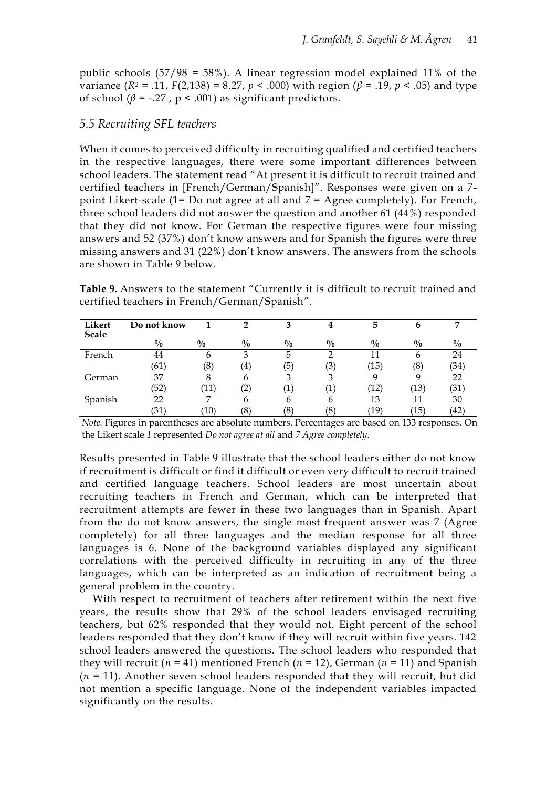public schools (57/98 = 58%). A linear regression model explained 11% of the variance ( $R$ <sup>2</sup> = .11,  $F(2,138) = 8.27$ ,  $p < .000$ ) with region ( $β = .19$ ,  $p < .05$ ) and type of school ( $\beta$  = -.27,  $p < .001$ ) as significant predictors.

#### *5.5 Recruiting SFL teachers*

When it comes to perceived difficulty in recruiting qualified and certified teachers in the respective languages, there were some important differences between school leaders. The statement read "At present it is difficult to recruit trained and certified teachers in [French/German/Spanish]". Responses were given on a 7 point Likert-scale (1= Do not agree at all and  $7 = \text{Agree}$  completely). For French, three school leaders did not answer the question and another 61 (44%) responded that they did not know. For German the respective figures were four missing answers and 52 (37%) don't know answers and for Spanish the figures were three missing answers and 31 (22%) don't know answers. The answers from the schools are shown in Table 9 below.

**Table 9.** Answers to the statement "Currently it is difficult to recruit trained and certified teachers in French/German/Spanish".

| Likert<br><b>Scale</b> | Do not know   |                | ◠             | 3             |               | 5                 | n             | ┍             |
|------------------------|---------------|----------------|---------------|---------------|---------------|-------------------|---------------|---------------|
|                        | $\frac{0}{0}$ | $\frac{0}{0}$  | $\frac{0}{0}$ | $\frac{0}{0}$ | $\frac{0}{0}$ | $\frac{0}{0}$     | $\frac{0}{0}$ | $\frac{0}{0}$ |
| French                 | 44            | 6              | 3             | 5             |               | 11                | 6             | 24            |
|                        | (61)          | (8)            | $\frac{4}{4}$ | (5)           | (3)           | ้15)              | (8)           | (34)          |
| German                 | 37            | 8              | h             | 3             | 2             | q                 | 9             | 22            |
|                        | 52            | $^{\prime}11)$ | $\mathbf{2},$ | $\ket{1}$     | $\perp$       | 12)               | '13)          | (31)          |
| Spanish                | 22            | $\overline{ }$ | h             | 6             | 6             | 13                |               | 30            |
|                        | 31            | '10)           | (8)           | (8            | (8)           | $\left(19\right)$ | ้15)          | '42`          |

*Note.* Figures in parentheses are absolute numbers. Percentages are based on 133 responses. On the Likert scale *1* represented *Do not agree at all* and *7 Agree completely*.

Results presented in Table 9 illustrate that the school leaders either do not know if recruitment is difficult or find it difficult or even very difficult to recruit trained and certified language teachers. School leaders are most uncertain about recruiting teachers in French and German, which can be interpreted that recruitment attempts are fewer in these two languages than in Spanish. Apart from the do not know answers, the single most frequent answer was 7 (Agree completely) for all three languages and the median response for all three languages is 6. None of the background variables displayed any significant correlations with the perceived difficulty in recruiting in any of the three languages, which can be interpreted as an indication of recruitment being a general problem in the country.

With respect to recruitment of teachers after retirement within the next five years, the results show that 29% of the school leaders envisaged recruiting teachers, but 62% responded that they would not. Eight percent of the school leaders responded that they don't know if they will recruit within five years. 142 school leaders answered the questions. The school leaders who responded that they will recruit ( $n = 41$ ) mentioned French ( $n = 12$ ), German ( $n = 11$ ) and Spanish  $(n = 11)$ . Another seven school leaders responded that they will recruit, but did not mention a specific language. None of the independent variables impacted significantly on the results.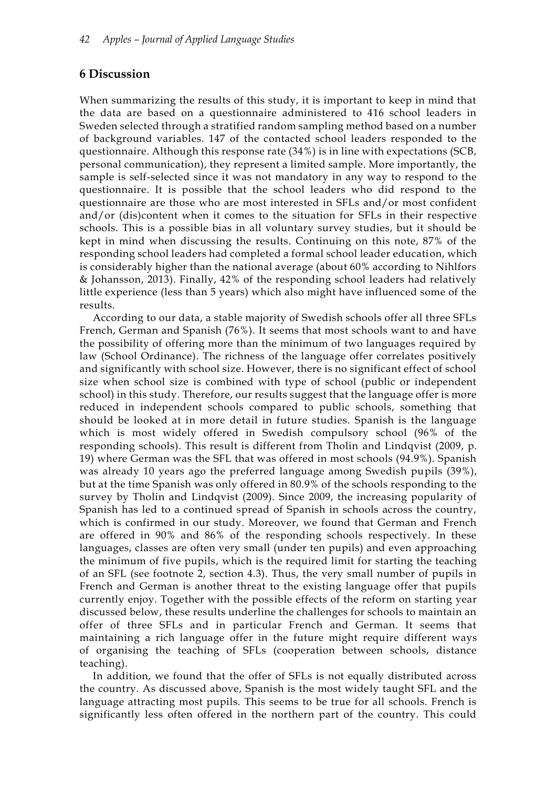# **6 Discussion**

When summarizing the results of this study, it is important to keep in mind that the data are based on a questionnaire administered to 416 school leaders in Sweden selected through a stratified random sampling method based on a number of background variables. 147 of the contacted school leaders responded to the questionnaire. Although this response rate (34%) is in line with expectations (SCB, personal communication), they represent a limited sample. More importantly, the sample is self-selected since it was not mandatory in any way to respond to the questionnaire. It is possible that the school leaders who did respond to the questionnaire are those who are most interested in SFLs and/or most confident and/or (dis)content when it comes to the situation for SFLs in their respective schools. This is a possible bias in all voluntary survey studies, but it should be kept in mind when discussing the results. Continuing on this note, 87% of the responding school leaders had completed a formal school leader education, which is considerably higher than the national average (about 60% according to Nihlfors & Johansson, 2013). Finally, 42% of the responding school leaders had relatively little experience (less than 5 years) which also might have influenced some of the results.

According to our data, a stable majority of Swedish schools offer all three SFLs French, German and Spanish (76%). It seems that most schools want to and have the possibility of offering more than the minimum of two languages required by law (School Ordinance). The richness of the language offer correlates positively and significantly with school size. However, there is no significant effect of school size when school size is combined with type of school (public or independent school) in this study. Therefore, our results suggest that the language offer is more reduced in independent schools compared to public schools, something that should be looked at in more detail in future studies. Spanish is the language which is most widely offered in Swedish compulsory school (96% of the responding schools). This result is different from Tholin and Lindqvist (2009, p. 19) where German was the SFL that was offered in most schools (94.9%). Spanish was already 10 years ago the preferred language among Swedish pupils (39%), but at the time Spanish was only offered in 80.9% of the schools responding to the survey by Tholin and Lindqvist (2009). Since 2009, the increasing popularity of Spanish has led to a continued spread of Spanish in schools across the country, which is confirmed in our study. Moreover, we found that German and French are offered in 90% and 86% of the responding schools respectively. In these languages, classes are often very small (under ten pupils) and even approaching the minimum of five pupils, which is the required limit for starting the teaching of an SFL (see footnote 2, section 4.3). Thus, the very small number of pupils in French and German is another threat to the existing language offer that pupils currently enjoy. Together with the possible effects of the reform on starting year discussed below, these results underline the challenges for schools to maintain an offer of three SFLs and in particular French and German. It seems that maintaining a rich language offer in the future might require different ways of organising the teaching of SFLs (cooperation between schools, distance teaching).

In addition, we found that the offer of SFLs is not equally distributed across the country. As discussed above, Spanish is the most widely taught SFL and the language attracting most pupils. This seems to be true for all schools. French is significantly less often offered in the northern part of the country. This could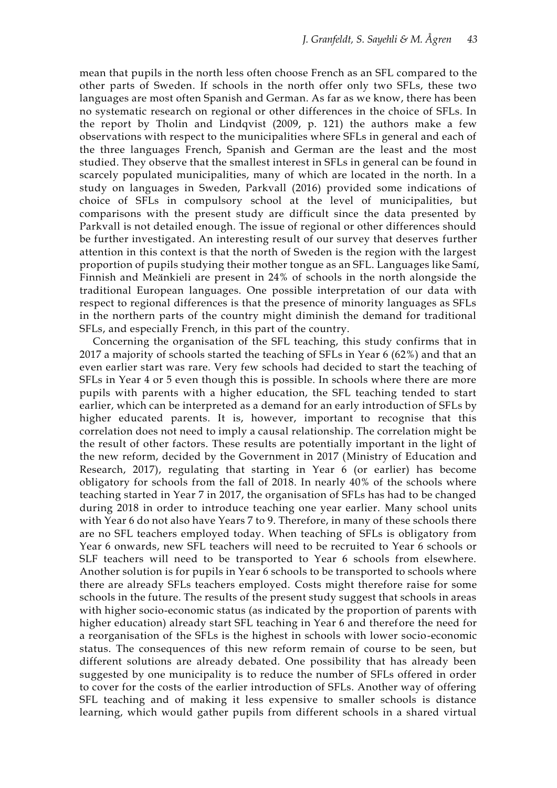mean that pupils in the north less often choose French as an SFL compared to the other parts of Sweden. If schools in the north offer only two SFLs, these two languages are most often Spanish and German. As far as we know, there has been no systematic research on regional or other differences in the choice of SFLs. In the report by Tholin and Lindqvist (2009, p. 121) the authors make a few observations with respect to the municipalities where SFLs in general and each of the three languages French, Spanish and German are the least and the most studied. They observe that the smallest interest in SFLs in general can be found in scarcely populated municipalities, many of which are located in the north. In a study on languages in Sweden, Parkvall (2016) provided some indications of choice of SFLs in compulsory school at the level of municipalities, but comparisons with the present study are difficult since the data presented by Parkvall is not detailed enough. The issue of regional or other differences should be further investigated. An interesting result of our survey that deserves further attention in this context is that the north of Sweden is the region with the largest proportion of pupils studying their mother tongue as an SFL. Languages like Samí, Finnish and Meänkieli are present in 24% of schools in the north alongside the traditional European languages. One possible interpretation of our data with respect to regional differences is that the presence of minority languages as SFLs in the northern parts of the country might diminish the demand for traditional SFLs, and especially French, in this part of the country.

Concerning the organisation of the SFL teaching, this study confirms that in 2017 a majority of schools started the teaching of SFLs in Year 6 (62%) and that an even earlier start was rare. Very few schools had decided to start the teaching of SFLs in Year 4 or 5 even though this is possible. In schools where there are more pupils with parents with a higher education, the SFL teaching tended to start earlier, which can be interpreted as a demand for an early introduction of SFLs by higher educated parents. It is, however, important to recognise that this correlation does not need to imply a causal relationship. The correlation might be the result of other factors. These results are potentially important in the light of the new reform, decided by the Government in 2017 (Ministry of Education and Research, 2017), regulating that starting in Year 6 (or earlier) has become obligatory for schools from the fall of 2018. In nearly 40% of the schools where teaching started in Year 7 in 2017, the organisation of SFLs has had to be changed during 2018 in order to introduce teaching one year earlier. Many school units with Year 6 do not also have Years 7 to 9. Therefore, in many of these schools there are no SFL teachers employed today. When teaching of SFLs is obligatory from Year 6 onwards, new SFL teachers will need to be recruited to Year 6 schools or SLF teachers will need to be transported to Year 6 schools from elsewhere. Another solution is for pupils in Year 6 schools to be transported to schools where there are already SFLs teachers employed. Costs might therefore raise for some schools in the future. The results of the present study suggest that schools in areas with higher socio-economic status (as indicated by the proportion of parents with higher education) already start SFL teaching in Year 6 and therefore the need for a reorganisation of the SFLs is the highest in schools with lower socio-economic status. The consequences of this new reform remain of course to be seen, but different solutions are already debated. One possibility that has already been suggested by one municipality is to reduce the number of SFLs offered in order to cover for the costs of the earlier introduction of SFLs. Another way of offering SFL teaching and of making it less expensive to smaller schools is distance learning, which would gather pupils from different schools in a shared virtual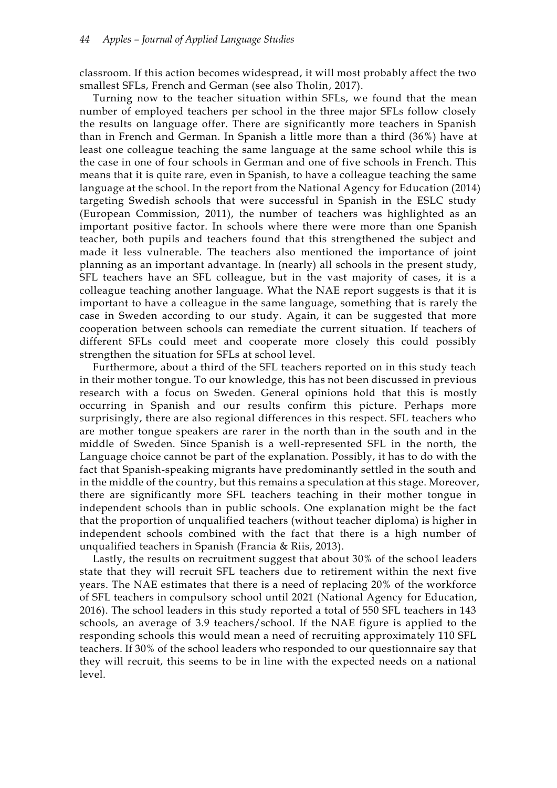classroom. If this action becomes widespread, it will most probably affect the two smallest SFLs, French and German (see also Tholin, 2017).

Turning now to the teacher situation within SFLs, we found that the mean number of employed teachers per school in the three major SFLs follow closely the results on language offer. There are significantly more teachers in Spanish than in French and German. In Spanish a little more than a third (36%) have at least one colleague teaching the same language at the same school while this is the case in one of four schools in German and one of five schools in French. This means that it is quite rare, even in Spanish, to have a colleague teaching the same language at the school. In the report from the National Agency for Education (2014) targeting Swedish schools that were successful in Spanish in the ESLC study (European Commission, 2011), the number of teachers was highlighted as an important positive factor. In schools where there were more than one Spanish teacher, both pupils and teachers found that this strengthened the subject and made it less vulnerable. The teachers also mentioned the importance of joint planning as an important advantage. In (nearly) all schools in the present study, SFL teachers have an SFL colleague, but in the vast majority of cases, it is a colleague teaching another language. What the NAE report suggests is that it is important to have a colleague in the same language, something that is rarely the case in Sweden according to our study. Again, it can be suggested that more cooperation between schools can remediate the current situation. If teachers of different SFLs could meet and cooperate more closely this could possibly strengthen the situation for SFLs at school level.

Furthermore, about a third of the SFL teachers reported on in this study teach in their mother tongue. To our knowledge, this has not been discussed in previous research with a focus on Sweden. General opinions hold that this is mostly occurring in Spanish and our results confirm this picture. Perhaps more surprisingly, there are also regional differences in this respect. SFL teachers who are mother tongue speakers are rarer in the north than in the south and in the middle of Sweden. Since Spanish is a well-represented SFL in the north, the Language choice cannot be part of the explanation. Possibly, it has to do with the fact that Spanish-speaking migrants have predominantly settled in the south and in the middle of the country, but this remains a speculation at this stage. Moreover, there are significantly more SFL teachers teaching in their mother tongue in independent schools than in public schools. One explanation might be the fact that the proportion of unqualified teachers (without teacher diploma) is higher in independent schools combined with the fact that there is a high number of unqualified teachers in Spanish (Francia & Riis, 2013).

Lastly, the results on recruitment suggest that about 30% of the school leaders state that they will recruit SFL teachers due to retirement within the next five years. The NAE estimates that there is a need of replacing 20% of the workforce of SFL teachers in compulsory school until 2021 (National Agency for Education, 2016). The school leaders in this study reported a total of 550 SFL teachers in 143 schools, an average of 3.9 teachers/school. If the NAE figure is applied to the responding schools this would mean a need of recruiting approximately 110 SFL teachers. If 30% of the school leaders who responded to our questionnaire say that they will recruit, this seems to be in line with the expected needs on a national level.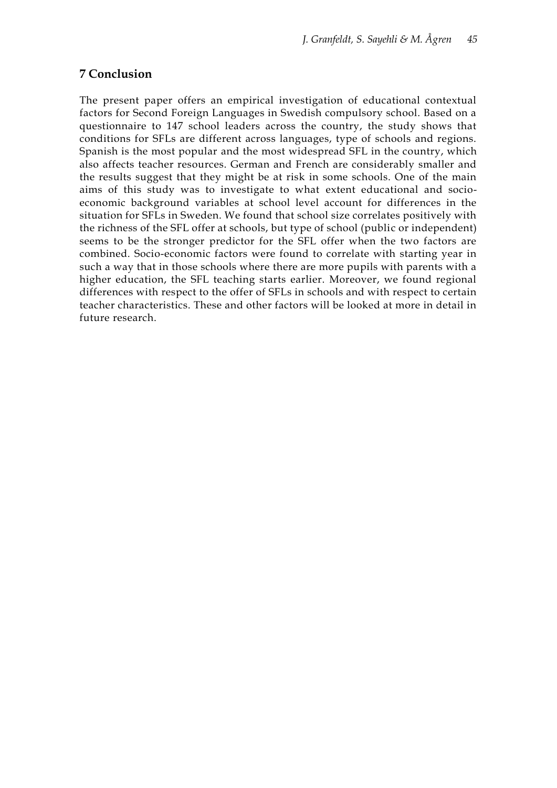# **7 Conclusion**

The present paper offers an empirical investigation of educational contextual factors for Second Foreign Languages in Swedish compulsory school. Based on a questionnaire to 147 school leaders across the country, the study shows that conditions for SFLs are different across languages, type of schools and regions. Spanish is the most popular and the most widespread SFL in the country, which also affects teacher resources. German and French are considerably smaller and the results suggest that they might be at risk in some schools. One of the main aims of this study was to investigate to what extent educational and socioeconomic background variables at school level account for differences in the situation for SFLs in Sweden. We found that school size correlates positively with the richness of the SFL offer at schools, but type of school (public or independent) seems to be the stronger predictor for the SFL offer when the two factors are combined. Socio-economic factors were found to correlate with starting year in such a way that in those schools where there are more pupils with parents with a higher education, the SFL teaching starts earlier. Moreover, we found regional differences with respect to the offer of SFLs in schools and with respect to certain teacher characteristics. These and other factors will be looked at more in detail in future research.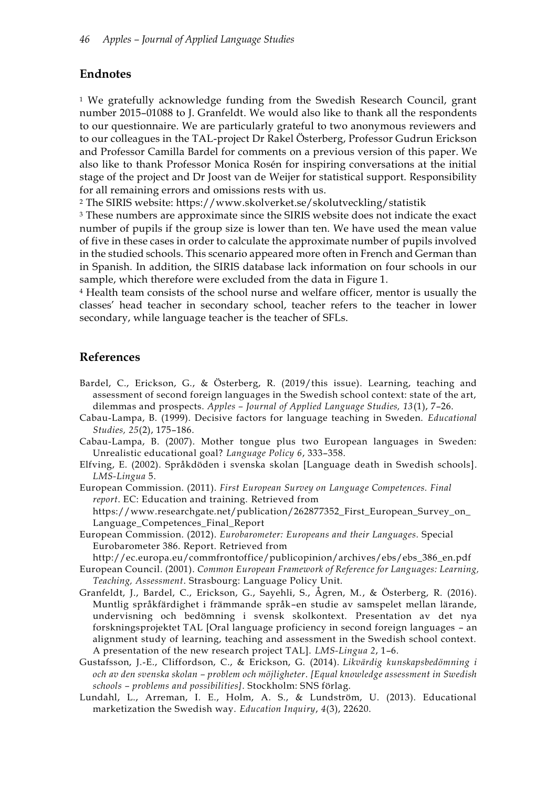# **Endnotes**

<sup>1</sup> We gratefully acknowledge funding from the Swedish Research Council, grant number 2015–01088 to J. Granfeldt. We would also like to thank all the respondents to our questionnaire. We are particularly grateful to two anonymous reviewers and to our colleagues in the TAL-project Dr Rakel Österberg, Professor Gudrun Erickson and Professor Camilla Bardel for comments on a previous version of this paper. We also like to thank Professor Monica Rosén for inspiring conversations at the initial stage of the project and Dr Joost van de Weijer for statistical support. Responsibility for all remaining errors and omissions rests with us.

<sup>2</sup> The SIRIS website: https://www.skolverket.se/skolutveckling/statistik

<sup>3</sup> These numbers are approximate since the SIRIS website does not indicate the exact number of pupils if the group size is lower than ten. We have used the mean value of five in these cases in order to calculate the approximate number of pupils involved in the studied schools. This scenario appeared more often in French and German than in Spanish. In addition, the SIRIS database lack information on four schools in our sample, which therefore were excluded from the data in Figure 1.

<sup>4</sup> Health team consists of the school nurse and welfare officer, mentor is usually the classes' head teacher in secondary school, teacher refers to the teacher in lower secondary, while language teacher is the teacher of SFLs.

# **References**

- Bardel, C., Erickson, G., & Österberg, R. (2019/this issue). Learning, teaching and assessment of second foreign languages in the Swedish school context: state of the art, dilemmas and prospects. *Apples – Journal of Applied Language Studies, 13*(1), 7–26.
- Cabau-Lampa, B. (1999). Decisive factors for language teaching in Sweden. *Educational Studies, 25*(2), 175–186.
- Cabau-Lampa, B. (2007). Mother tongue plus two European languages in Sweden: Unrealistic educational goal? *Language Policy 6*, 333–358.
- Elfving, E. (2002). Språkdöden i svenska skolan [Language death in Swedish schools]. *LMS-Lingua* 5.
- European Commission. (2011). *First European Survey on Language Competences. Final report*. EC: Education and training. Retrieved from https://www.researchgate.net/publication/262877352\_First\_European\_Survey\_on\_ Language\_Competences\_Final\_Report
- European Commission. (2012). *Eurobarometer: Europeans and their Languages.* Special Eurobarometer 386. Report. Retrieved from
- http://ec.europa.eu/commfrontoffice/publicopinion/archives/ebs/ebs\_386\_en.pdf
- European Council. (2001). *Common European Framework of Reference for Languages: Learning, Teaching, Assessment*. Strasbourg: Language Policy Unit.
- Granfeldt, J., Bardel, C., Erickson, G., Sayehli, S., Ågren, M., & Österberg, R. (2016). Muntlig språkfärdighet i främmande språk–en studie av samspelet mellan lärande, undervisning och bedömning i svensk skolkontext. Presentation av det nya forskningsprojektet TAL [Oral language proficiency in second foreign languages – an alignment study of learning, teaching and assessment in the Swedish school context. A presentation of the new research project TAL]. *LMS-Lingua 2*, 1–6.
- Gustafsson, J.-E., Cliffordson, C., & Erickson, G. (2014). *Likvärdig kunskapsbedömning i och av den svenska skolan – problem och möjligheter*. *[Equal knowledge assessment in Swedish schools – problems and possibilities]*. Stockholm: SNS förlag.
- Lundahl, L., Arreman, I. E., Holm, A. S., & Lundström, U. (2013). Educational marketization the Swedish way. *Education Inquiry*, *4*(3), 22620.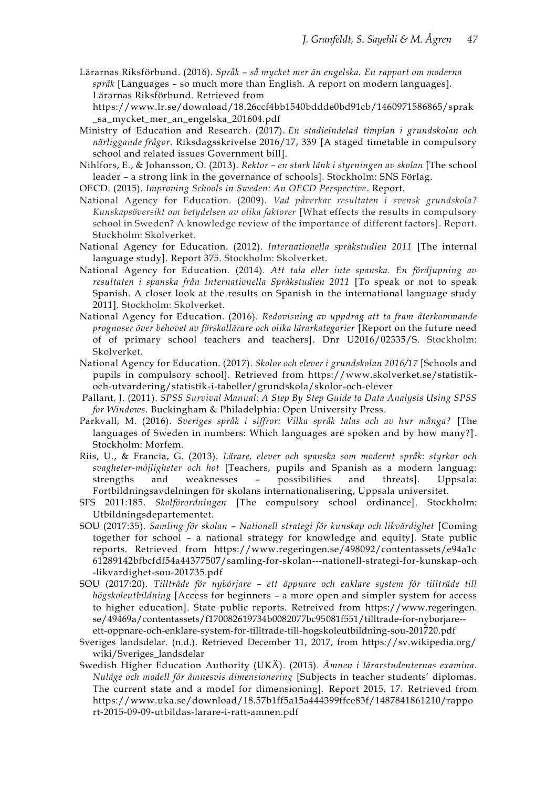Lärarnas Riksförbund. (2016). *Språk – så mycket mer än engelska. En rapport om moderna språk* [Languages – so much more than English. A report on modern languages]. Lärarnas Riksförbund. Retrieved from

https://www.lr.se/download/18.26ccf4bb1540bddde0bd91cb/1460971586865/sprak \_sa\_mycket\_mer\_an\_engelska\_201604.pdf

Ministry of Education and Research. (2017). *En stadieindelad timplan i grundskolan och närliggande frågor*. Riksdagsskrivelse 2016/17, 339 [A staged timetable in compulsory school and related issues Government bill].

Nihlfors, E., & Johansson, O. (2013). *Rektor – en stark länk i styrningen av skolan* [The school leader – a strong link in the governance of schools]. Stockholm: SNS Förlag.

OECD. (2015). *Improving Schools in Sweden: An OECD Perspective*. Report.

- National Agency for Education. (2009). *Vad påverkar resultaten i svensk grundskola? Kunskapsöversikt om betydelsen av olika faktorer* [What effects the results in compulsory school in Sweden? A knowledge review of the importance of different factors]*.* Report. Stockholm: Skolverket.
- National Agency for Education. (2012). *Internationella språkstudien 2011* [The internal language study]. Report 375. Stockholm: Skolverket.
- National Agency for Education. (2014). *Att tala eller inte spanska. En fördjupning av resultaten i spanska från Internationella Språkstudien 2011* [To speak or not to speak Spanish. A closer look at the results on Spanish in the international language study 2011]. Stockholm: Skolverket.
- National Agency for Education. (2016). *Redovisning av uppdrag att ta fram återkommande prognoser över behovet av förskollärare och olika lärarkategorier* [Report on the future need of of primary school teachers and teachers]. Dnr U2016/02335/S. Stockholm: Skolverket.
- National Agency for Education. (2017). *Skolor och elever i grundskolan 2016/17* [Schools and pupils in compulsory school]. Retrieved from https://www.skolverket.se/statistikoch-utvardering/statistik-i-tabeller/grundskola/skolor-och-elever
- Pallant, J. (2011). *SPSS Survival Manual: A Step By Step Guide to Data Analysis Using SPSS for Windows.* Buckingham & Philadelphia: Open University Press.
- Parkvall, M. (2016). *Sveriges språk i siffror: Vilka språk talas och av hur många?* [The languages of Sweden in numbers: Which languages are spoken and by how many?]. Stockholm: Morfem.
- Riis, U., & Francia, G. (2013). *Lärare, elever och spanska som modernt språk: styrkor och svagheter-möjligheter och hot* [Teachers, pupils and Spanish as a modern languag: strengths and weaknesses – possibilities and threats]. Uppsala: Fortbildningsavdelningen för skolans internationalisering, Uppsala universitet.
- SFS 2011:185. *Skolförordningen* [The compulsory school ordinance]. Stockholm: Utbildningsdepartementet.
- SOU (2017:35). *Samling för skolan – Nationell strategi för kunskap och likvärdighet* [Coming together for school – a national strategy for knowledge and equity]. State public reports. Retrieved from https://www.regeringen.se/498092/contentassets/e94a1c 61289142bfbcfdf54a44377507/samling-for-skolan---nationell-strategi-for-kunskap-och -likvardighet-sou-201735.pdf
- SOU (2017:20). *Tillträde för nybörjare – ett öppnare och enklare system för tillträde till högskoleutbildning* [Access for beginners – a more open and simpler system for access to higher education]. State public reports. Retreived from https://www.regeringen. se/49469a/contentassets/f170082619734b0082077bc95081f551/tilltrade-for-nyborjare- ett-oppnare-och-enklare-system-for-tilltrade-till-hogskoleutbildning-sou-201720.pdf
- Sveriges landsdelar. (n.d.). Retrieved December 11, 2017, from https://sv.wikipedia.org/ wiki/Sveriges\_landsdelar
- Swedish Higher Education Authority (UKÄ). (2015). *Ämnen i lärarstudenternas examina. Nuläge och modell för ämnesvis dimensionering* [Subjects in teacher students' diplomas. The current state and a model for dimensioning]. Report 2015, 17. Retrieved from https://www.uka.se/download/18.57b1ff5a15a444399ffce83f/1487841861210/rappo rt-2015-09-09-utbildas-larare-i-ratt-amnen.pdf